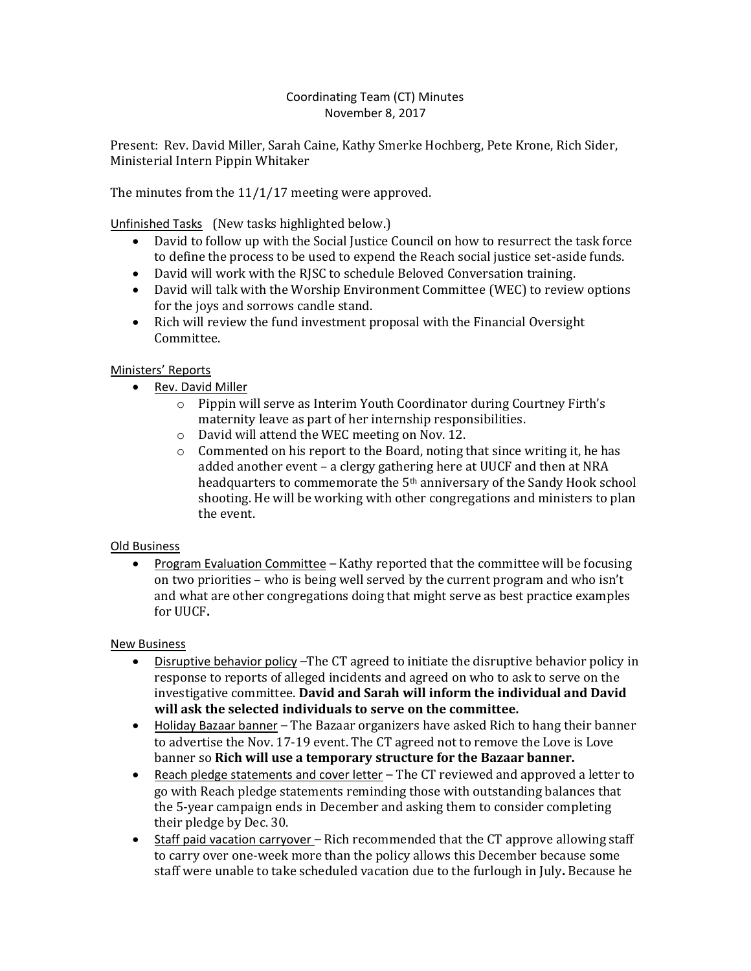## Coordinating Team (CT) Minutes November 8, 2017

Present: Rev. David Miller, Sarah Caine, Kathy Smerke Hochberg, Pete Krone, Rich Sider, Ministerial Intern Pippin Whitaker

The minutes from the 11/1/17 meeting were approved.

Unfinished Tasks (New tasks highlighted below.)

- David to follow up with the Social Justice Council on how to resurrect the task force to define the process to be used to expend the Reach social justice set-aside funds.
- David will work with the RJSC to schedule Beloved Conversation training.
- David will talk with the Worship Environment Committee (WEC) to review options for the joys and sorrows candle stand.
- Rich will review the fund investment proposal with the Financial Oversight Committee.

## Ministers' Reports

- Rev. David Miller
	- o Pippin will serve as Interim Youth Coordinator during Courtney Firth's maternity leave as part of her internship responsibilities.
	- o David will attend the WEC meeting on Nov. 12.
	- o Commented on his report to the Board, noting that since writing it, he has added another event – a clergy gathering here at UUCF and then at NRA headquarters to commemorate the 5th anniversary of the Sandy Hook school shooting. He will be working with other congregations and ministers to plan the event.

## Old Business

• Program Evaluation Committee – Kathy reported that the committee will be focusing on two priorities – who is being well served by the current program and who isn't and what are other congregations doing that might serve as best practice examples for UUCF**.**

## New Business

- Disruptive behavior policy –The CT agreed to initiate the disruptive behavior policy in response to reports of alleged incidents and agreed on who to ask to serve on the investigative committee. **David and Sarah will inform the individual and David will ask the selected individuals to serve on the committee.**
- Holiday Bazaar banner The Bazaar organizers have asked Rich to hang their banner to advertise the Nov. 17-19 event. The CT agreed not to remove the Love is Love banner so **Rich will use a temporary structure for the Bazaar banner.**
- Reach pledge statements and cover letter The CT reviewed and approved a letter to go with Reach pledge statements reminding those with outstanding balances that the 5-year campaign ends in December and asking them to consider completing their pledge by Dec. 30.
- Staff paid vacation carryover Rich recommended that the CT approve allowing staff to carry over one-week more than the policy allows this December because some staff were unable to take scheduled vacation due to the furlough in July**.** Because he